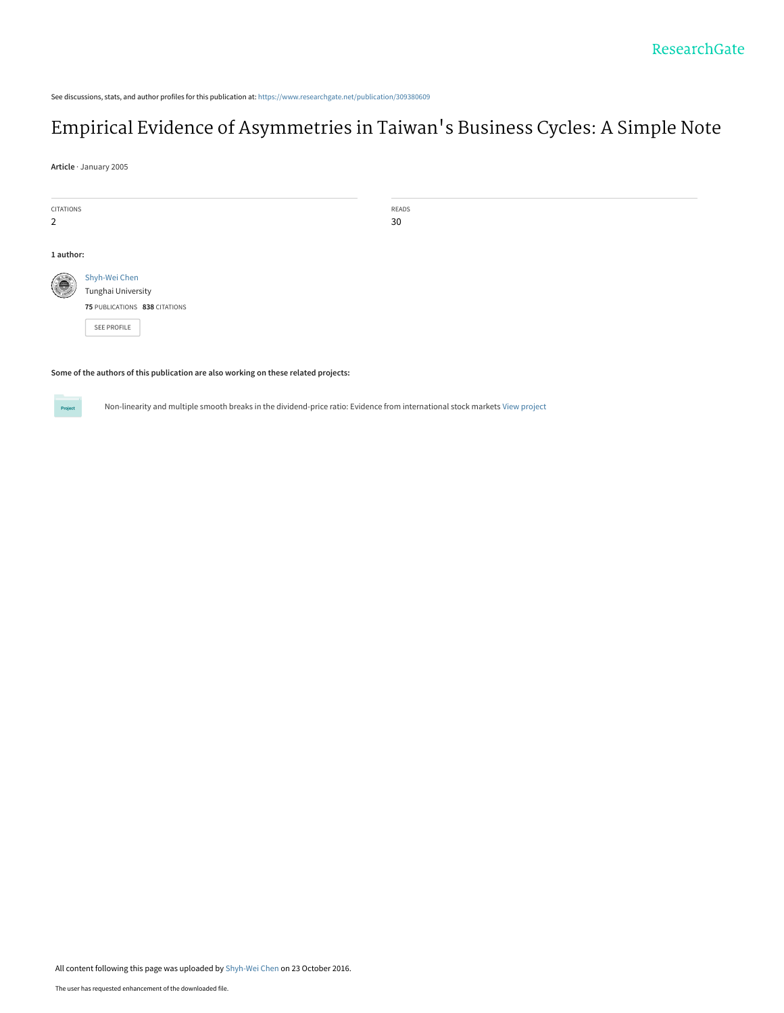See discussions, stats, and author profiles for this publication at: [https://www.researchgate.net/publication/309380609](https://www.researchgate.net/publication/309380609_Empirical_Evidence_of_Asymmetries_in_Taiwan%27s_Business_Cycles_A_Simple_Note?enrichId=rgreq-b3f31799da986368444db1282ba63707-XXX&enrichSource=Y292ZXJQYWdlOzMwOTM4MDYwOTtBUzo0MjAzMjg4OTY1MTYwOTZAMTQ3NzIyNTYyNjQ5MQ%3D%3D&el=1_x_2&_esc=publicationCoverPdf)

## [Empirical Evidence of Asymmetries in Taiwan](https://www.researchgate.net/publication/309380609_Empirical_Evidence_of_Asymmetries_in_Taiwan%27s_Business_Cycles_A_Simple_Note?enrichId=rgreq-b3f31799da986368444db1282ba63707-XXX&enrichSource=Y292ZXJQYWdlOzMwOTM4MDYwOTtBUzo0MjAzMjg4OTY1MTYwOTZAMTQ3NzIyNTYyNjQ5MQ%3D%3D&el=1_x_3&_esc=publicationCoverPdf)'s Business Cycles: A Simple Note

**Article** · January 2005

| CITATIONS      |                               | READS |  |  |  |
|----------------|-------------------------------|-------|--|--|--|
| $\overline{2}$ |                               | 30    |  |  |  |
|                |                               |       |  |  |  |
|                | 1 author:                     |       |  |  |  |
| G              | Shyh-Wei Chen                 |       |  |  |  |
|                | Tunghai University            |       |  |  |  |
|                | 75 PUBLICATIONS 838 CITATIONS |       |  |  |  |
|                | SEE PROFILE                   |       |  |  |  |
|                |                               |       |  |  |  |

**Some of the authors of this publication are also working on these related projects:**



Non-linearity and multiple smooth breaks in the dividend-price ratio: Evidence from international stock markets [View project](https://www.researchgate.net/project/Non-linearity-and-multiple-smooth-breaks-in-the-dividend-price-ratio-Evidence-from-international-stock-markets?enrichId=rgreq-b3f31799da986368444db1282ba63707-XXX&enrichSource=Y292ZXJQYWdlOzMwOTM4MDYwOTtBUzo0MjAzMjg4OTY1MTYwOTZAMTQ3NzIyNTYyNjQ5MQ%3D%3D&el=1_x_9&_esc=publicationCoverPdf)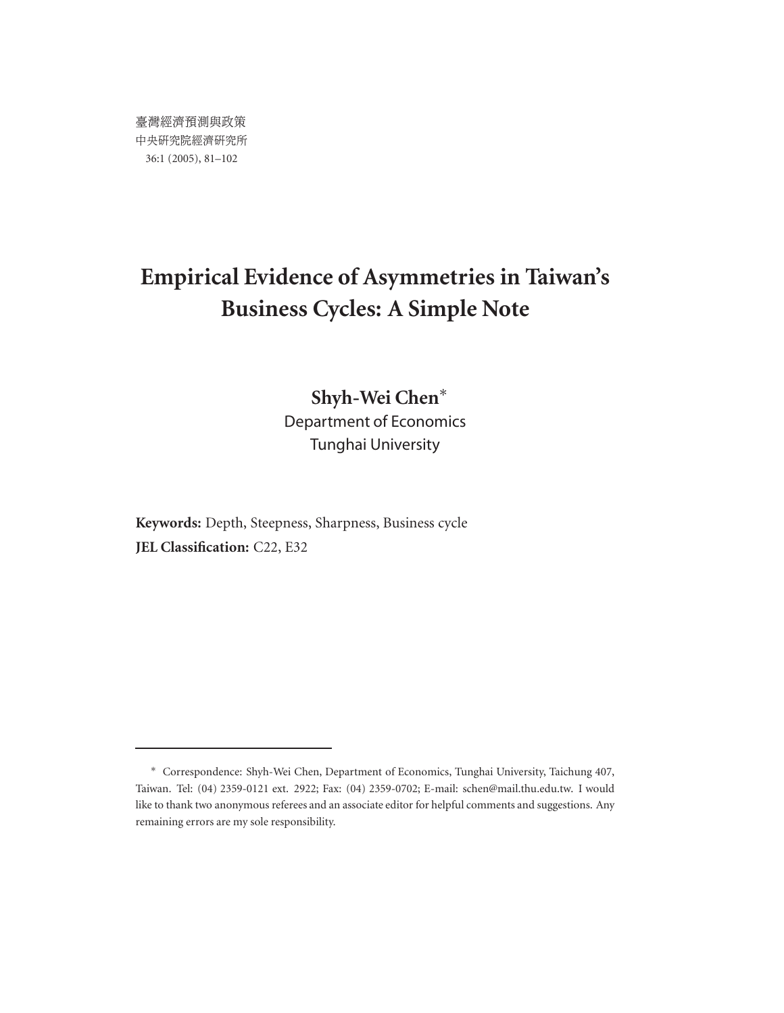# **Empirical Evidence of Asymmetries in Taiwan's Business Cycles: A Simple Note**

## **Shyh-Wei Chen**∗ Department of Economics Tunghai University

**Keywords:** Depth, Steepness, Sharpness, Business cycle **JEL Classification:** C22, E32

<sup>∗</sup> Correspondence: Shyh-Wei Chen, Department of Economics, Tunghai University, Taichung 407, Taiwan. Tel: (04) 2359-0121 ext. 2922; Fax: (04) 2359-0702; E-mail: schen@mail.thu.edu.tw. I would like to thank two anonymous referees and an associate editor for helpful comments and suggestions. Any remaining errors are my sole responsibility.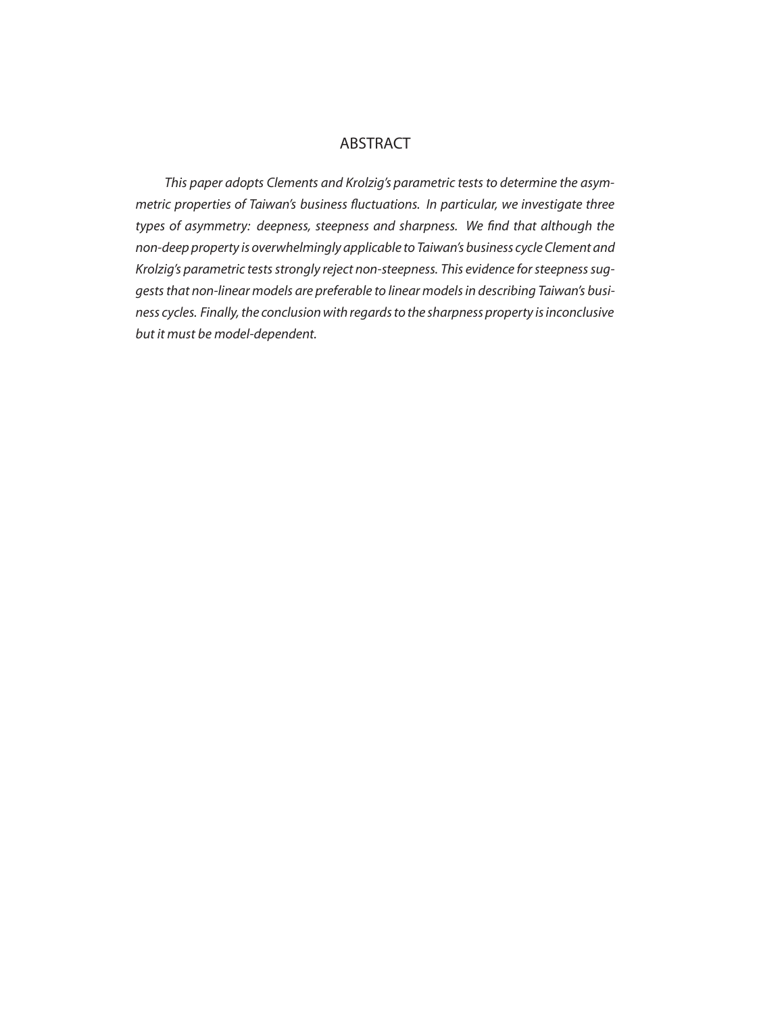#### ABSTRACT

*This paper adopts Clements and Krolzig's parametric tests to determine the asymmetric properties of Taiwan's business fluctuations. In particular, we investigate three types of asymmetry: deepness, steepness and sharpness. We find that although the non-deep property is overwhelmingly applicable to Taiwan's business cycle Clement and Krolzig's parametric tests strongly reject non-steepness. This evidence for steepness suggests that non-linear models are preferable to linear models in describing Taiwan's business cycles. Finally, the conclusion with regards to the sharpness property is inconclusive but it must be model-dependent.*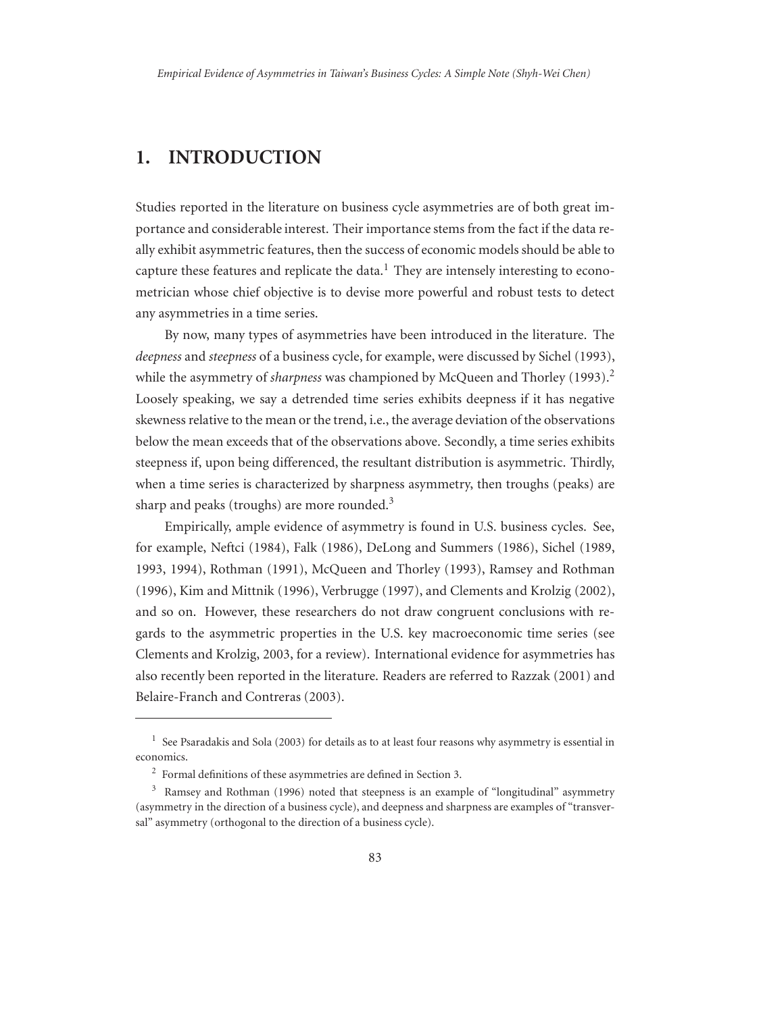#### **1. INTRODUCTION**

Studies reported in the literature on business cycle asymmetries are of both great importance and considerable interest. Their importance stems from the fact if the data really exhibit asymmetric features, then the success of economic models should be able to capture these features and replicate the data.<sup>1</sup> They are intensely interesting to econometrician whose chief objective is to devise more powerful and robust tests to detect any asymmetries in a time series.

By now, many types of asymmetries have been introduced in the literature. The *deepness* and *steepness* of a business cycle, for example, were discussed by Sichel (1993), while the asymmetry of *sharpness* was championed by McQueen and Thorley (1993).<sup>2</sup> Loosely speaking, we say a detrended time series exhibits deepness if it has negative skewness relative to the mean or the trend, i.e., the average deviation of the observations below the mean exceeds that of the observations above. Secondly, a time series exhibits steepness if, upon being differenced, the resultant distribution is asymmetric. Thirdly, when a time series is characterized by sharpness asymmetry, then troughs (peaks) are sharp and peaks (troughs) are more rounded. $3$ 

Empirically, ample evidence of asymmetry is found in U.S. business cycles. See, for example, Neftci (1984), Falk (1986), DeLong and Summers (1986), Sichel (1989, 1993, 1994), Rothman (1991), McQueen and Thorley (1993), Ramsey and Rothman (1996), Kim and Mittnik (1996), Verbrugge (1997), and Clements and Krolzig (2002), and so on. However, these researchers do not draw congruent conclusions with regards to the asymmetric properties in the U.S. key macroeconomic time series (see Clements and Krolzig, 2003, for a review). International evidence for asymmetries has also recently been reported in the literature. Readers are referred to Razzak (2001) and Belaire-Franch and Contreras (2003).

<sup>&</sup>lt;sup>1</sup> See Psaradakis and Sola (2003) for details as to at least four reasons why asymmetry is essential in economics.

<sup>2</sup> Formal definitions of these asymmetries are defined in Section 3.

 $3$  Ramsey and Rothman (1996) noted that steepness is an example of "longitudinal" asymmetry (asymmetry in the direction of a business cycle), and deepness and sharpness are examples of "transversal" asymmetry (orthogonal to the direction of a business cycle).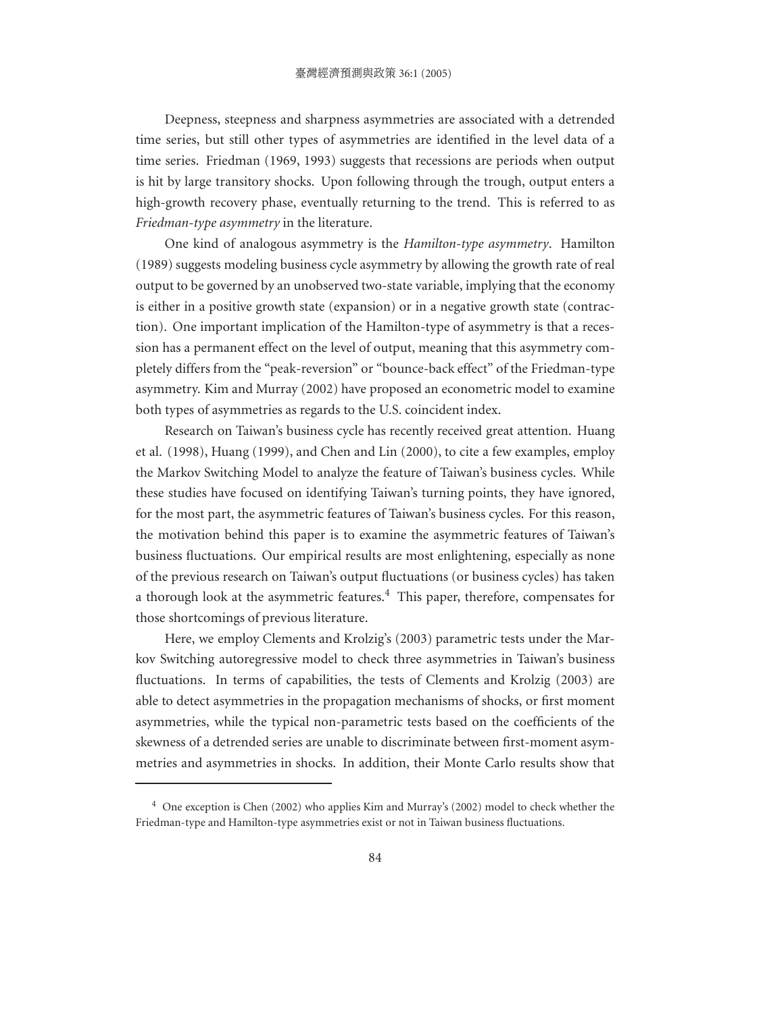Deepness, steepness and sharpness asymmetries are associated with a detrended time series, but still other types of asymmetries are identified in the level data of a time series. Friedman (1969, 1993) suggests that recessions are periods when output is hit by large transitory shocks. Upon following through the trough, output enters a high-growth recovery phase, eventually returning to the trend. This is referred to as *Friedman-type asymmetry* in the literature.

One kind of analogous asymmetry is the *Hamilton-type asymmetry*. Hamilton (1989) suggests modeling business cycle asymmetry by allowing the growth rate of real output to be governed by an unobserved two-state variable, implying that the economy is either in a positive growth state (expansion) or in a negative growth state (contraction). One important implication of the Hamilton-type of asymmetry is that a recession has a permanent effect on the level of output, meaning that this asymmetry completely differs from the "peak-reversion" or "bounce-back effect" of the Friedman-type asymmetry. Kim and Murray (2002) have proposed an econometric model to examine both types of asymmetries as regards to the U.S. coincident index.

Research on Taiwan's business cycle has recently received great attention. Huang et al. (1998), Huang (1999), and Chen and Lin (2000), to cite a few examples, employ the Markov Switching Model to analyze the feature of Taiwan's business cycles. While these studies have focused on identifying Taiwan's turning points, they have ignored, for the most part, the asymmetric features of Taiwan's business cycles. For this reason, the motivation behind this paper is to examine the asymmetric features of Taiwan's business fluctuations. Our empirical results are most enlightening, especially as none of the previous research on Taiwan's output fluctuations (or business cycles) has taken a thorough look at the asymmetric features.<sup>4</sup> This paper, therefore, compensates for those shortcomings of previous literature.

Here, we employ Clements and Krolzig's (2003) parametric tests under the Markov Switching autoregressive model to check three asymmetries in Taiwan's business fluctuations. In terms of capabilities, the tests of Clements and Krolzig (2003) are able to detect asymmetries in the propagation mechanisms of shocks, or first moment asymmetries, while the typical non-parametric tests based on the coefficients of the skewness of a detrended series are unable to discriminate between first-moment asymmetries and asymmetries in shocks. In addition, their Monte Carlo results show that

<sup>&</sup>lt;sup>4</sup> One exception is Chen (2002) who applies Kim and Murray's (2002) model to check whether the Friedman-type and Hamilton-type asymmetries exist or not in Taiwan business fluctuations.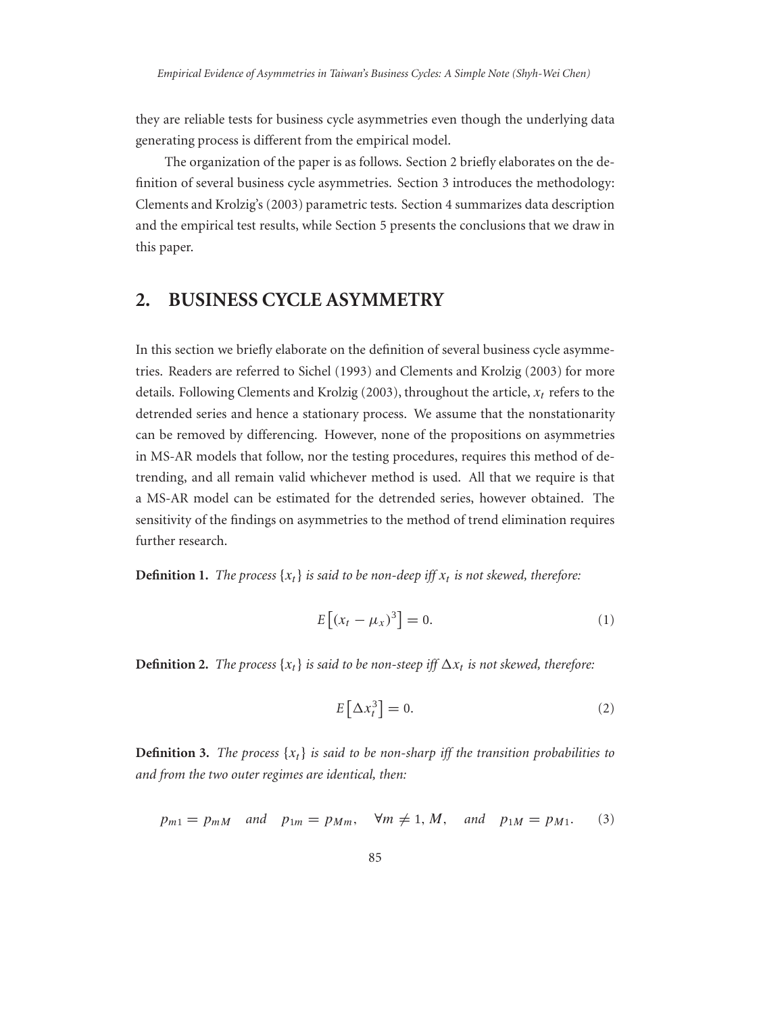they are reliable tests for business cycle asymmetries even though the underlying data generating process is different from the empirical model.

The organization of the paper is as follows. Section 2 briefly elaborates on the definition of several business cycle asymmetries. Section 3 introduces the methodology: Clements and Krolzig's (2003) parametric tests. Section 4 summarizes data description and the empirical test results, while Section 5 presents the conclusions that we draw in this paper.

#### **2. BUSINESS CYCLE ASYMMETRY**

In this section we briefly elaborate on the definition of several business cycle asymmetries. Readers are referred to Sichel (1993) and Clements and Krolzig (2003) for more details. Following Clements and Krolzig (2003), throughout the article,  $x_t$  refers to the detrended series and hence a stationary process. We assume that the nonstationarity can be removed by differencing. However, none of the propositions on asymmetries in MS-AR models that follow, nor the testing procedures, requires this method of detrending, and all remain valid whichever method is used. All that we require is that a MS-AR model can be estimated for the detrended series, however obtained. The sensitivity of the findings on asymmetries to the method of trend elimination requires further research.

**Definition 1.** The process  $\{x_t\}$  is said to be non-deep iff  $x_t$  is not skewed, therefore:

$$
E\left[\left(x_t - \mu_x\right)^3\right] = 0. \tag{1}
$$

**Definition 2.** The process  $\{x_t\}$  is said to be non-steep iff  $\Delta x_t$  is not skewed, therefore:

$$
E\left[\Delta x_t^3\right] = 0.\tag{2}
$$

**Definition 3.** *The process*  $\{x_t\}$  *is said to be non-sharp iff the transition probabilities to and from the two outer regimes are identical, then:*

$$
p_{m1} = p_{mM}
$$
 and  $p_{1m} = p_{Mm}$ ,  $\forall m \neq 1, M$ , and  $p_{1M} = p_{M1}$ . (3)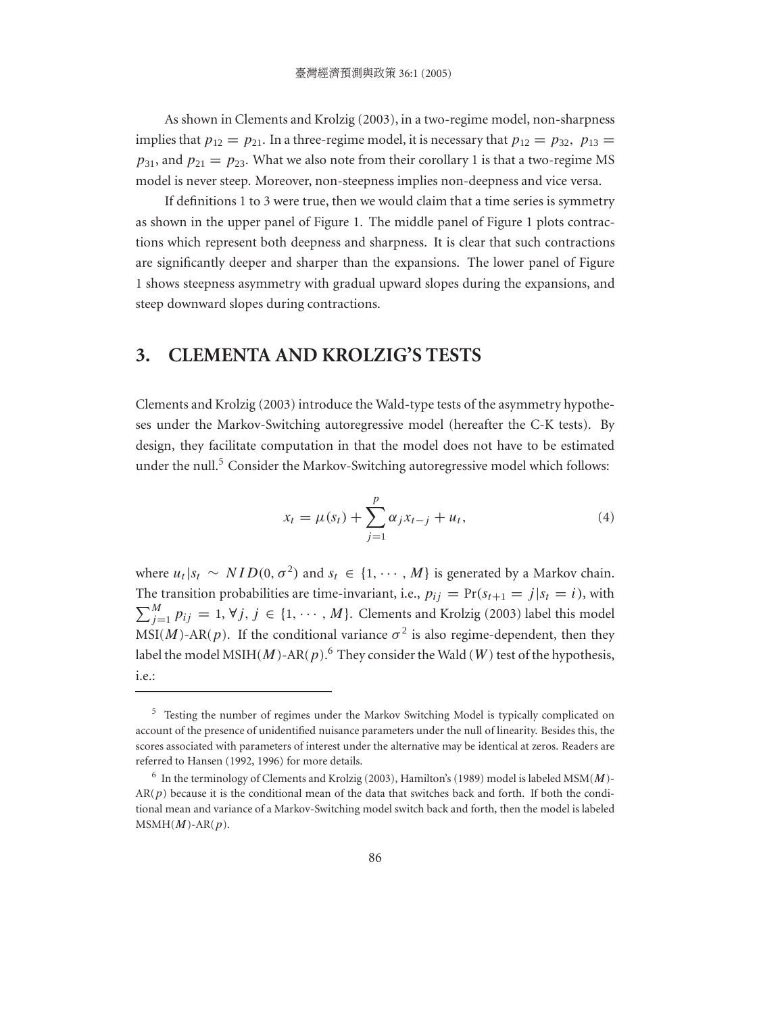As shown in Clements and Krolzig (2003), in a two-regime model, non-sharpness implies that  $p_{12} = p_{21}$ . In a three-regime model, it is necessary that  $p_{12} = p_{32}$ ,  $p_{13} =$  $p_{31}$ , and  $p_{21} = p_{23}$ . What we also note from their corollary 1 is that a two-regime MS model is never steep. Moreover, non-steepness implies non-deepness and vice versa.

If definitions 1 to 3 were true, then we would claim that a time series is symmetry as shown in the upper panel of Figure 1. The middle panel of Figure 1 plots contractions which represent both deepness and sharpness. It is clear that such contractions are significantly deeper and sharper than the expansions. The lower panel of Figure 1 shows steepness asymmetry with gradual upward slopes during the expansions, and steep downward slopes during contractions.

#### **3. CLEMENTA AND KROLZIG'S TESTS**

Clements and Krolzig (2003) introduce the Wald-type tests of the asymmetry hypotheses under the Markov-Switching autoregressive model (hereafter the C-K tests). By design, they facilitate computation in that the model does not have to be estimated under the null.<sup>5</sup> Consider the Markov-Switching autoregressive model which follows:

$$
x_t = \mu(s_t) + \sum_{j=1}^p \alpha_j x_{t-j} + u_t,
$$
\n(4)

where  $u_t | s_t \sim NID(0, \sigma^2)$  and  $s_t \in \{1, \cdots, M\}$  is generated by a Markov chain. The transition probabilities are time-invariant, i.e.,  $p_{ij} = Pr(s_{t+1} = j | s_t = i)$ , with  $\sum_{j=1}^{M} p_{ij} = 1, \forall j, j \in \{1, \cdots, M\}.$  Clements and Krolzig (2003) label this model MSI(*M*)-AR(*p*). If the conditional variance  $\sigma^2$  is also regime-dependent, then they label the model MSIH(M)-AR(p).<sup>6</sup> They consider the Wald (W) test of the hypothesis, i.e.:

<sup>5</sup> Testing the number of regimes under the Markov Switching Model is typically complicated on account of the presence of unidentified nuisance parameters under the null of linearity. Besides this, the scores associated with parameters of interest under the alternative may be identical at zeros. Readers are referred to Hansen (1992, 1996) for more details.

 $^6$  In the terminology of Clements and Krolzig (2003), Hamilton's (1989) model is labeled MSM( $M$ )- $AR(p)$  because it is the conditional mean of the data that switches back and forth. If both the conditional mean and variance of a Markov-Switching model switch back and forth, then the model is labeled  $MSMH(M)$ -AR $(p)$ .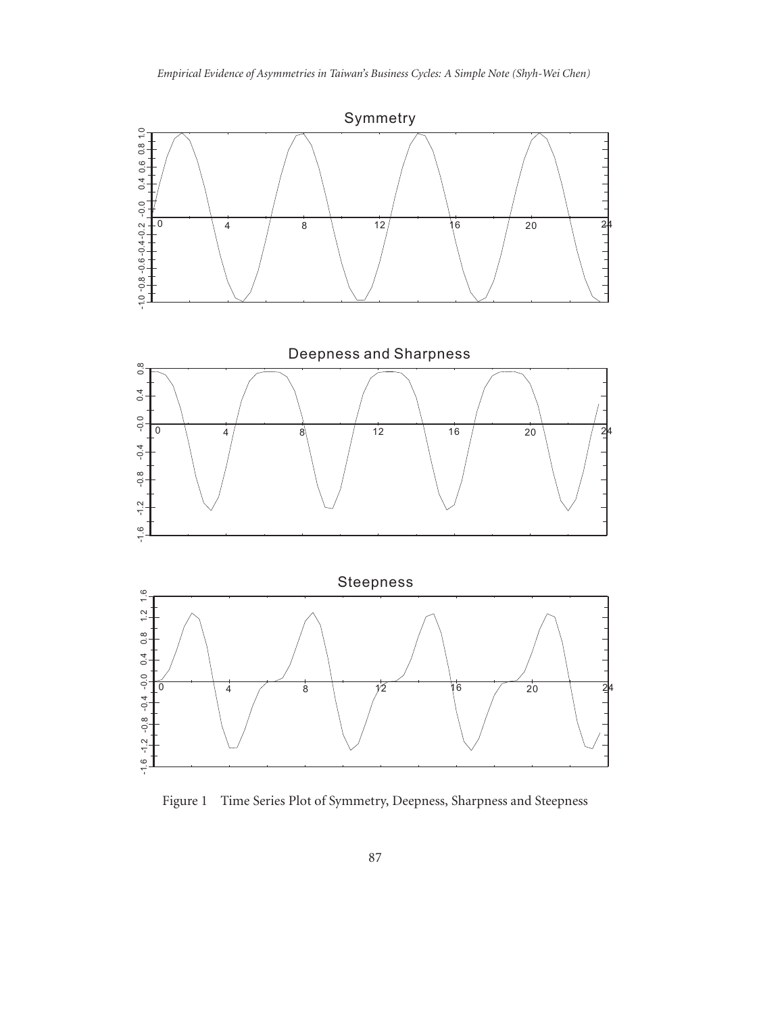

Figure 1 Time Series Plot of Symmetry, Deepness, Sharpness and Steepness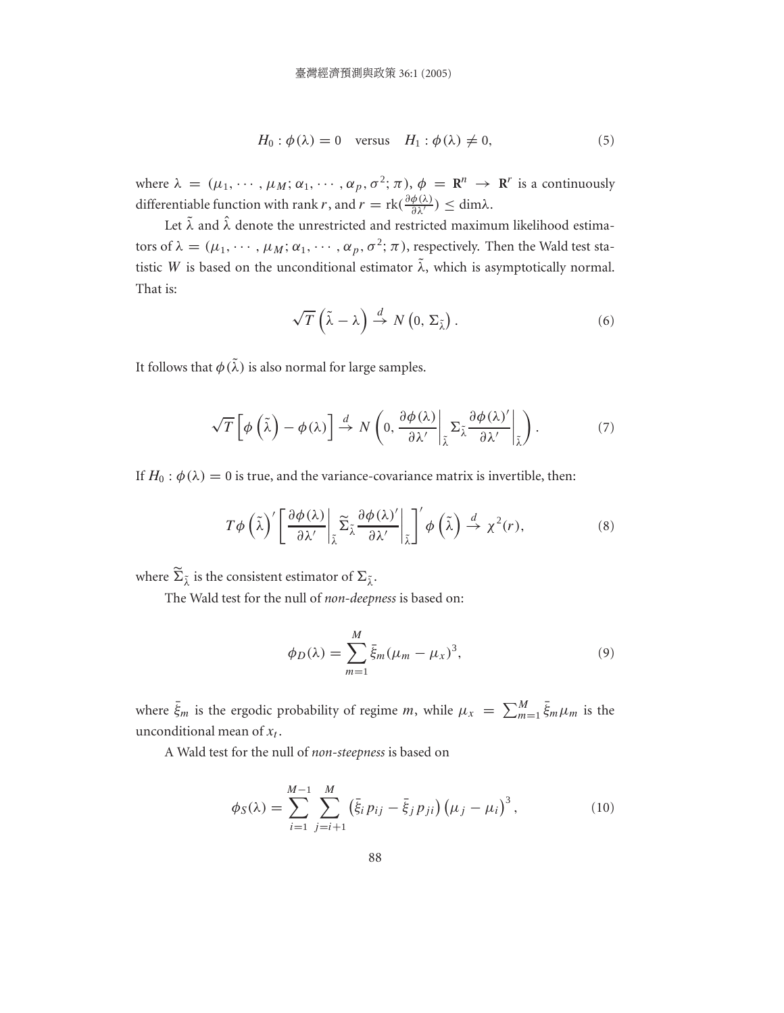$$
H_0: \phi(\lambda) = 0 \quad \text{versus} \quad H_1: \phi(\lambda) \neq 0,\tag{5}
$$

where  $\lambda = (\mu_1, \cdots, \mu_M; \alpha_1, \cdots, \alpha_p, \sigma^2; \pi), \phi = \mathbb{R}^n \to \mathbb{R}^r$  is a continuously differentiable function with rank r, and  $r = \text{rk}(\frac{\partial \phi(\lambda)}{\partial \lambda'}) \leq \text{dim}\lambda$ .

Let  $\tilde{\lambda}$  and  $\hat{\lambda}$  denote the unrestricted and restricted maximum likelihood estimators of  $\lambda = (\mu_1, \cdots, \mu_M; \alpha_1, \cdots, \alpha_p, \sigma^2; \pi)$ , respectively. Then the Wald test statistic W is based on the unconditional estimator  $\tilde{\lambda}$ , which is asymptotically normal. That is:

$$
\sqrt{T}\left(\tilde{\lambda}-\lambda\right) \stackrel{d}{\rightarrow} N\left(0,\,\Sigma_{\tilde{\lambda}}\right). \tag{6}
$$

It follows that  $\phi(\tilde{\lambda})$  is also normal for large samples.

$$
\sqrt{T}\left[\phi\left(\tilde{\lambda}\right)-\phi\left(\lambda\right)\right] \stackrel{d}{\rightarrow} N\left(0,\frac{\partial\phi\left(\lambda\right)}{\partial\lambda'}\bigg|_{\tilde{\lambda}}\Sigma_{\tilde{\lambda}}\frac{\partial\phi\left(\lambda\right)'}{\partial\lambda'}\bigg|_{\tilde{\lambda}}\right). \tag{7}
$$

If  $H_0: \phi(\lambda) = 0$  is true, and the variance-covariance matrix is invertible, then:

$$
T\phi\left(\tilde{\lambda}\right)' \left[\frac{\partial\phi(\lambda)}{\partial\lambda'}\bigg|_{\tilde{\lambda}} \widetilde{\Sigma}_{\tilde{\lambda}} \frac{\partial\phi(\lambda)'}{\partial\lambda'}\bigg|_{\tilde{\lambda}}\right]' \phi\left(\tilde{\lambda}\right) \stackrel{d}{\to} \chi^2(r),\tag{8}
$$

where  $\Sigma_{\tilde{\lambda}}$  is the consistent estimator of  $\Sigma_{\tilde{\lambda}}$ .

The Wald test for the null of *non-deepness* is based on:

$$
\phi_D(\lambda) = \sum_{m=1}^M \bar{\xi}_m (\mu_m - \mu_x)^3, \qquad (9)
$$

where  $\bar{\xi}_m$  is the ergodic probability of regime m, while  $\mu_x = \sum_{m=1}^{M}$  $_{m=1}^{M} \xi_m \mu_m$  is the unconditional mean of  $x_t$ .

A Wald test for the null of *non-steepness* is based on

$$
\phi_S(\lambda) = \sum_{i=1}^{M-1} \sum_{j=i+1}^{M} \left( \bar{\xi}_i p_{ij} - \bar{\xi}_j p_{ji} \right) \left( \mu_j - \mu_i \right)^3, \tag{10}
$$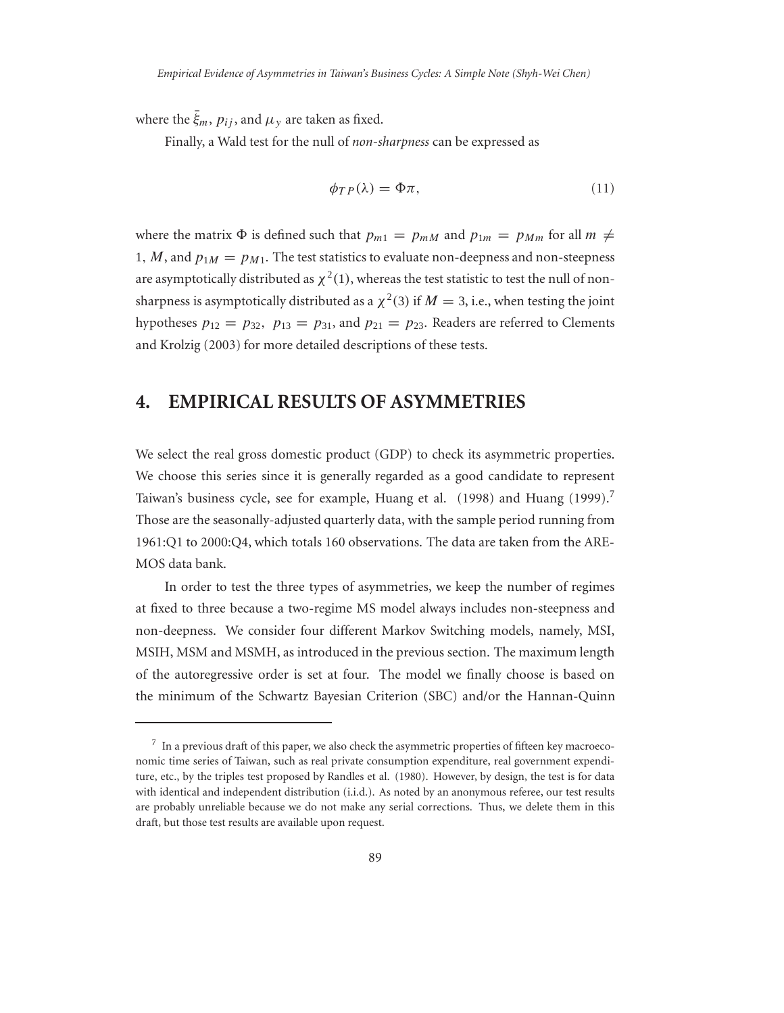where the  $\bar{\xi}_m$ ,  $p_{ij}$ , and  $\mu_{\nu}$  are taken as fixed.

Finally, a Wald test for the null of *non-sharpness* can be expressed as

$$
\phi_{TP}(\lambda) = \Phi \pi,\tag{11}
$$

where the matrix  $\Phi$  is defined such that  $p_{m1} = p_{mM}$  and  $p_{1m} = p_{Mm}$  for all  $m \neq$ 1, M, and  $p_{1M} = p_{M1}$ . The test statistics to evaluate non-deepness and non-steepness are asymptotically distributed as  $\chi^2(1)$ , whereas the test statistic to test the null of nonsharpness is asymptotically distributed as a  $\chi^2(3)$  if  $M = 3$ , i.e., when testing the joint hypotheses  $p_{12} = p_{32}$ ,  $p_{13} = p_{31}$ , and  $p_{21} = p_{23}$ . Readers are referred to Clements and Krolzig (2003) for more detailed descriptions of these tests.

#### **4. EMPIRICAL RESULTS OF ASYMMETRIES**

We select the real gross domestic product (GDP) to check its asymmetric properties. We choose this series since it is generally regarded as a good candidate to represent Taiwan's business cycle, see for example, Huang et al. (1998) and Huang (1999).<sup>7</sup> Those are the seasonally-adjusted quarterly data, with the sample period running from 1961:Q1 to 2000:Q4, which totals 160 observations. The data are taken from the ARE-MOS data bank.

In order to test the three types of asymmetries, we keep the number of regimes at fixed to three because a two-regime MS model always includes non-steepness and non-deepness. We consider four different Markov Switching models, namely, MSI, MSIH, MSM and MSMH, as introduced in the previous section. The maximum length of the autoregressive order is set at four. The model we finally choose is based on the minimum of the Schwartz Bayesian Criterion (SBC) and/or the Hannan-Quinn

 $7$  In a previous draft of this paper, we also check the asymmetric properties of fifteen key macroeconomic time series of Taiwan, such as real private consumption expenditure, real government expenditure, etc., by the triples test proposed by Randles et al. (1980). However, by design, the test is for data with identical and independent distribution (i.i.d.). As noted by an anonymous referee, our test results are probably unreliable because we do not make any serial corrections. Thus, we delete them in this draft, but those test results are available upon request.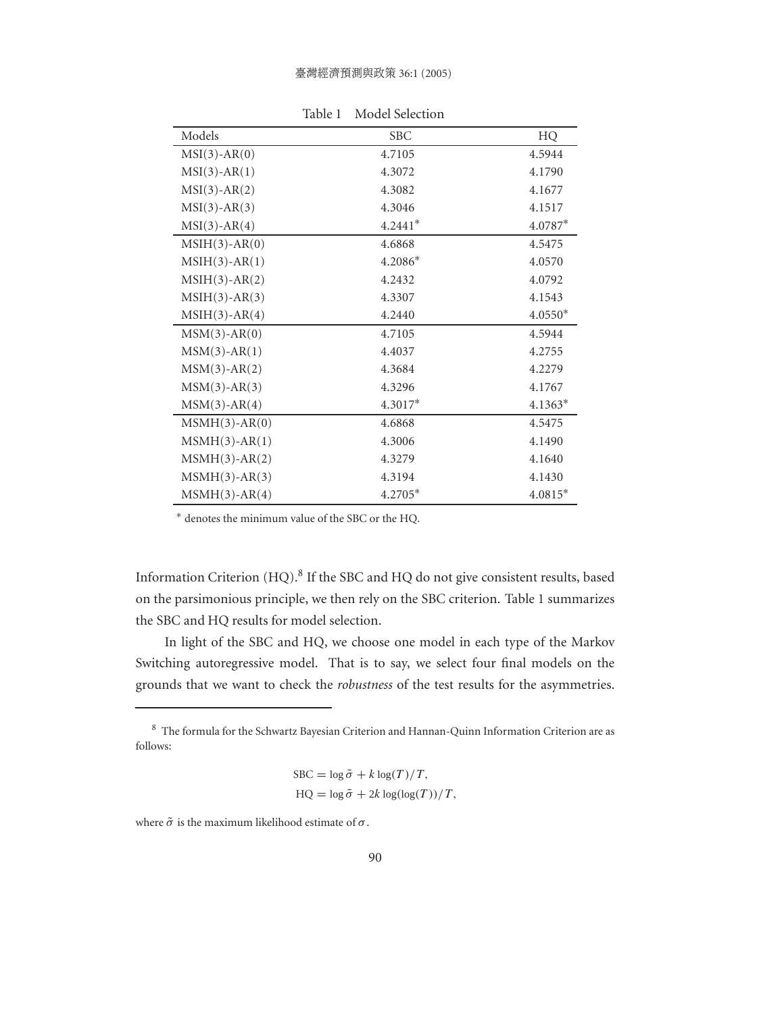| Models             | <b>SBC</b> | HQ        |
|--------------------|------------|-----------|
| $MSI(3)-AR(0)$     | 4.7105     | 4.5944    |
| $MSI(3)-AR(1)$     | 4.3072     | 4.1790    |
| $MSI(3)-AR(2)$     | 4.3082     | 4.1677    |
| $MSI(3)-AR(3)$     | 4.3046     | 4.1517    |
| $MSI(3)-AR(4)$     | $4.2441*$  | $4.0787*$ |
| $MSIH(3)-AR(0)$    | 4.6868     | 4.5475    |
| $MSIH(3)-AR(1)$    | 4.2086*    | 4.0570    |
| $MSIH(3)-AR(2)$    | 4.2432     | 4.0792    |
| $MSIH(3)-AR(3)$    | 4.3307     | 4.1543    |
| $MSIH(3)-AR(4)$    | 4.2440     | $4.0550*$ |
| $MSM(3)-AR(0)$     | 4.7105     | 4.5944    |
| $MSM(3)$ -AR $(1)$ | 4.4037     | 4.2755    |
| $MSM(3)-AR(2)$     | 4.3684     | 4.2279    |
| $MSM(3)-AR(3)$     | 4.3296     | 4.1767    |
| $MSM(3)-AR(4)$     | $4.3017*$  | $4.1363*$ |
| $MSMH(3)-AR(0)$    | 4.6868     | 4.5475    |
| $MSMH(3)-AR(1)$    | 4.3006     | 4.1490    |
| $MSMH(3)-AR(2)$    | 4.3279     | 4.1640    |
| $MSMH(3)-AR(3)$    | 4.3194     | 4.1430    |
| $MSMH(3)-AR(4)$    | 4.2705*    | $4.0815*$ |

Table 1 Model Selection

∗ denotes the minimum value of the SBC or the HQ.

Information Criterion (HQ).<sup>8</sup> If the SBC and HQ do not give consistent results, based on the parsimonious principle, we then rely on the SBC criterion. Table 1 summarizes the SBC and HQ results for model selection.

In light of the SBC and HQ, we choose one model in each type of the Markov Switching autoregressive model. That is to say, we select four final models on the grounds that we want to check the *robustness* of the test results for the asymmetries.

$$
SBC = \log \tilde{\sigma} + k \log(T) / T,
$$
  
\n
$$
HQ = \log \tilde{\sigma} + 2k \log(\log(T)) / T,
$$

where  $\tilde{\sigma}$  is the maximum likelihood estimate of  $\sigma$ .

<sup>8</sup> The formula for the Schwartz Bayesian Criterion and Hannan-Quinn Information Criterion are as follows: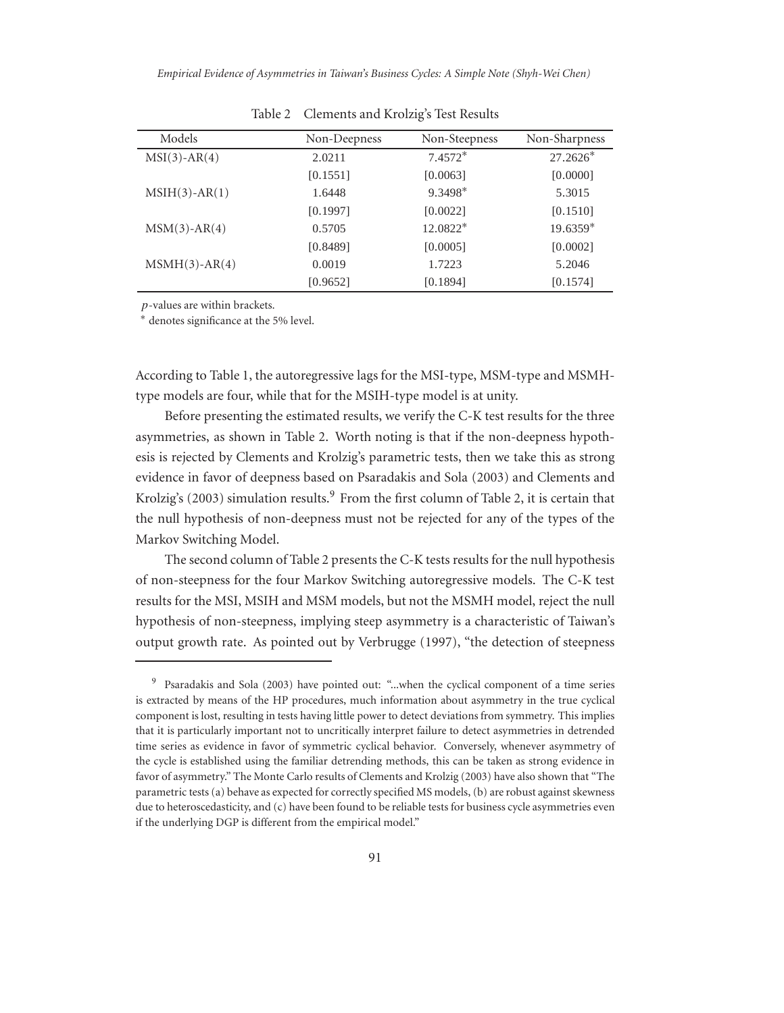*Empirical Evidence of Asymmetries in Taiwan's Business Cycles: A Simple Note (Shyh-Wei Chen)*

| Models          | Non-Deepness | Non-Steepness | Non-Sharpness |
|-----------------|--------------|---------------|---------------|
| $MSI(3)-AR(4)$  | 2.0211       | $7.4572*$     | $27.2626*$    |
|                 | [0.1551]     | [0.0063]      | [0.0000]      |
| $MSIH(3)-AR(1)$ | 1.6448       | $9.3498*$     | 5.3015        |
|                 | [0.1997]     | [0.0022]      | [0.1510]      |
| $MSM(3)-AR(4)$  | 0.5705       | $12.0822*$    | $19.6359*$    |
|                 | [0.8489]     | [0.0005]      | [0.0002]      |
| $MSMH(3)-AR(4)$ | 0.0019       | 1.7223        | 5.2046        |
|                 | [0.9652]     | [0.1894]      | [0.1574]      |

Table 2 Clements and Krolzig's Test Results

p-values are within brackets.

∗ denotes significance at the 5% level.

According to Table 1, the autoregressive lags for the MSI-type, MSM-type and MSMHtype models are four, while that for the MSIH-type model is at unity.

Before presenting the estimated results, we verify the C-K test results for the three asymmetries, as shown in Table 2. Worth noting is that if the non-deepness hypothesis is rejected by Clements and Krolzig's parametric tests, then we take this as strong evidence in favor of deepness based on Psaradakis and Sola (2003) and Clements and Krolzig's (2003) simulation results.<sup>9</sup> From the first column of Table 2, it is certain that the null hypothesis of non-deepness must not be rejected for any of the types of the Markov Switching Model.

The second column of Table 2 presents the C-K tests results for the null hypothesis of non-steepness for the four Markov Switching autoregressive models. The C-K test results for the MSI, MSIH and MSM models, but not the MSMH model, reject the null hypothesis of non-steepness, implying steep asymmetry is a characteristic of Taiwan's output growth rate. As pointed out by Verbrugge (1997), "the detection of steepness

<sup>9</sup> Psaradakis and Sola (2003) have pointed out: "...when the cyclical component of a time series is extracted by means of the HP procedures, much information about asymmetry in the true cyclical component is lost, resulting in tests having little power to detect deviations from symmetry. This implies that it is particularly important not to uncritically interpret failure to detect asymmetries in detrended time series as evidence in favor of symmetric cyclical behavior. Conversely, whenever asymmetry of the cycle is established using the familiar detrending methods, this can be taken as strong evidence in favor of asymmetry." The Monte Carlo results of Clements and Krolzig (2003) have also shown that "The parametric tests (a) behave as expected for correctly specified MS models, (b) are robust against skewness due to heteroscedasticity, and (c) have been found to be reliable tests for business cycle asymmetries even if the underlying DGP is different from the empirical model."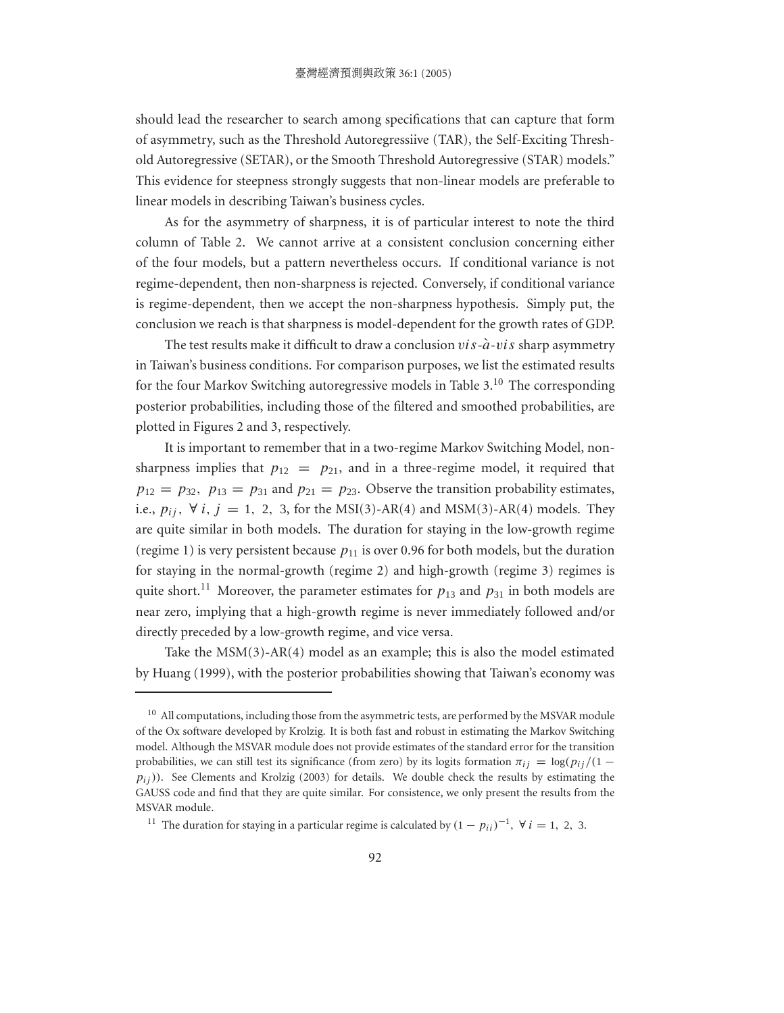should lead the researcher to search among specifications that can capture that form of asymmetry, such as the Threshold Autoregressiive (TAR), the Self-Exciting Threshold Autoregressive (SETAR), or the Smooth Threshold Autoregressive (STAR) models." This evidence for steepness strongly suggests that non-linear models are preferable to linear models in describing Taiwan's business cycles.

As for the asymmetry of sharpness, it is of particular interest to note the third column of Table 2. We cannot arrive at a consistent conclusion concerning either of the four models, but a pattern nevertheless occurs. If conditional variance is not regime-dependent, then non-sharpness is rejected. Conversely, if conditional variance is regime-dependent, then we accept the non-sharpness hypothesis. Simply put, the conclusion we reach is that sharpness is model-dependent for the growth rates of GDP.

The test results make it difficult to draw a conclusion  $vis -\hat{a}-vis$  sharp asymmetry in Taiwan's business conditions. For comparison purposes, we list the estimated results for the four Markov Switching autoregressive models in Table  $3<sup>10</sup>$ . The corresponding posterior probabilities, including those of the filtered and smoothed probabilities, are plotted in Figures 2 and 3, respectively.

It is important to remember that in a two-regime Markov Switching Model, nonsharpness implies that  $p_{12} = p_{21}$ , and in a three-regime model, it required that  $p_{12} = p_{32}$ ,  $p_{13} = p_{31}$  and  $p_{21} = p_{23}$ . Observe the transition probability estimates, i.e.,  $p_{ij}$ ,  $\forall i, j = 1, 2, 3$ , for the MSI(3)-AR(4) and MSM(3)-AR(4) models. They are quite similar in both models. The duration for staying in the low-growth regime (regime 1) is very persistent because  $p_{11}$  is over 0.96 for both models, but the duration for staying in the normal-growth (regime 2) and high-growth (regime 3) regimes is quite short.<sup>11</sup> Moreover, the parameter estimates for  $p_{13}$  and  $p_{31}$  in both models are near zero, implying that a high-growth regime is never immediately followed and/or directly preceded by a low-growth regime, and vice versa.

Take the MSM(3)-AR(4) model as an example; this is also the model estimated by Huang (1999), with the posterior probabilities showing that Taiwan's economy was

 $10$  All computations, including those from the asymmetric tests, are performed by the MSVAR module of the Ox software developed by Krolzig. It is both fast and robust in estimating the Markov Switching model. Although the MSVAR module does not provide estimates of the standard error for the transition probabilities, we can still test its significance (from zero) by its logits formation  $\pi_{ii} = \log(p_{ii}/(1$  $p_{ij}$ )). See Clements and Krolzig (2003) for details. We double check the results by estimating the GAUSS code and find that they are quite similar. For consistence, we only present the results from the MSVAR module.

<sup>&</sup>lt;sup>11</sup> The duration for staying in a particular regime is calculated by  $(1 - p_{ii})^{-1}$ ,  $\forall i = 1, 2, 3$ .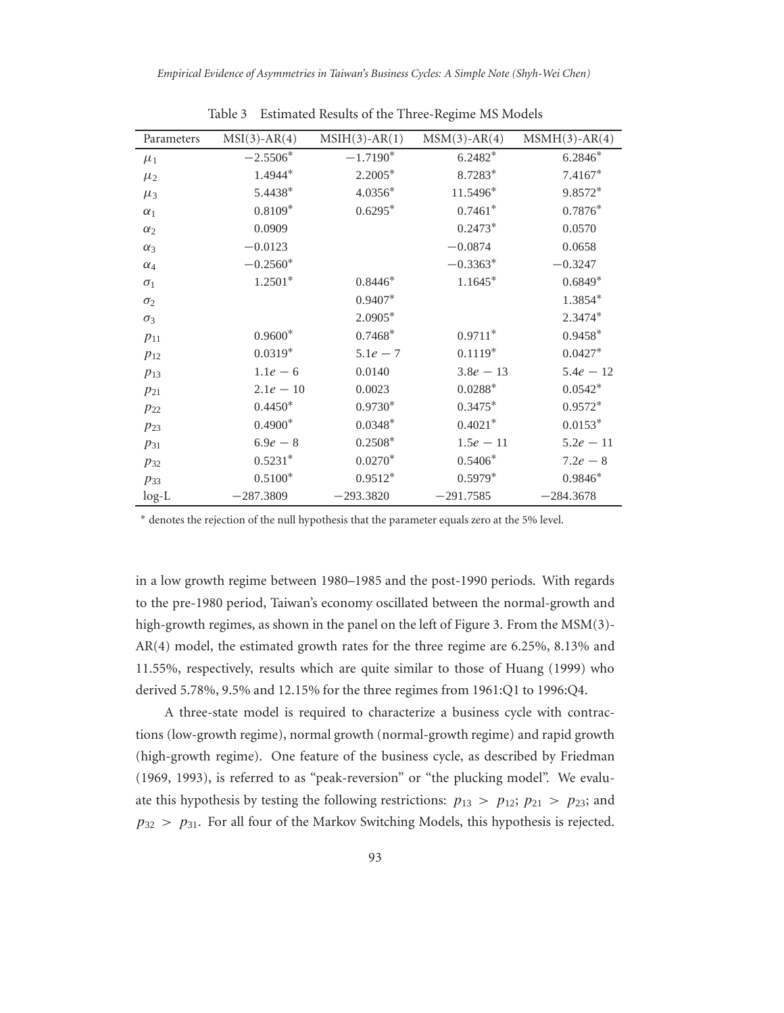| Parameters | $MSI(3)-AR(4)$ | $MSIH(3)-AR(1)$ | $MSM(3)-AR(4)$ | $MSMH(3)-AR(4)$ |
|------------|----------------|-----------------|----------------|-----------------|
| $\mu_1$    | $-2.5506*$     | $-1.7190*$      | $6.2482*$      | $6.2846*$       |
| $\mu_2$    | 1.4944*        | 2.2005*         | 8.7283*        | $7.4167*$       |
| $\mu_3$    | 5.4438*        | $4.0356*$       | 11.5496*       | 9.8572*         |
| $\alpha_1$ | $0.8109*$      | $0.6295*$       | $0.7461*$      | $0.7876*$       |
| $\alpha_2$ | 0.0909         |                 | $0.2473*$      | 0.0570          |
| $\alpha_3$ | $-0.0123$      |                 | $-0.0874$      | 0.0658          |
| $\alpha_4$ | $-0.2560*$     |                 | $-0.3363*$     | $-0.3247$       |
| $\sigma_1$ | $1.2501*$      | $0.8446*$       | $1.1645*$      | $0.6849*$       |
| $\sigma_2$ |                | $0.9407*$       |                | 1.3854*         |
| $\sigma_3$ |                | $2.0905*$       |                | 2.3474*         |
| $p_{11}$   | $0.9600*$      | $0.7468*$       | $0.9711*$      | $0.9458*$       |
| $p_{12}$   | $0.0319*$      | $5.1e - 7$      | $0.1119*$      | $0.0427*$       |
| $p_{13}$   | $1.1e-6$       | 0.0140          | $3.8e - 13$    | $5.4e - 12$     |
| $p_{21}$   | $2.1e - 10$    | 0.0023          | $0.0288*$      | $0.0542*$       |
| $p_{22}$   | $0.4450*$      | $0.9730*$       | $0.3475*$      | $0.9572*$       |
| $p_{23}$   | $0.4900*$      | $0.0348*$       | $0.4021*$      | $0.0153*$       |
| $p_{31}$   | $6.9e - 8$     | $0.2508*$       | $1.5e - 11$    | $5.2e - 11$     |
| $p_{32}$   | $0.5231*$      | $0.0270*$       | $0.5406*$      | $7.2e - 8$      |
| $p_{33}$   | $0.5100*$      | $0.9512*$       | $0.5979*$      | $0.9846*$       |
| $log-L$    | $-287.3809$    | $-293.3820$     | $-291.7585$    | $-284.3678$     |

Table 3 Estimated Results of the Three-Regime MS Models

∗ denotes the rejection of the null hypothesis that the parameter equals zero at the 5% level.

in a low growth regime between 1980–1985 and the post-1990 periods. With regards to the pre-1980 period, Taiwan's economy oscillated between the normal-growth and high-growth regimes, as shown in the panel on the left of Figure 3. From the MSM(3)-AR(4) model, the estimated growth rates for the three regime are 6.25%, 8.13% and 11.55%, respectively, results which are quite similar to those of Huang (1999) who derived 5.78%, 9.5% and 12.15% for the three regimes from 1961:Q1 to 1996:Q4.

A three-state model is required to characterize a business cycle with contractions (low-growth regime), normal growth (normal-growth regime) and rapid growth (high-growth regime). One feature of the business cycle, as described by Friedman (1969, 1993), is referred to as "peak-reversion" or "the plucking model". We evaluate this hypothesis by testing the following restrictions:  $p_{13} > p_{12}$ ;  $p_{21} > p_{23}$ ; and  $p_{32} > p_{31}$ . For all four of the Markov Switching Models, this hypothesis is rejected.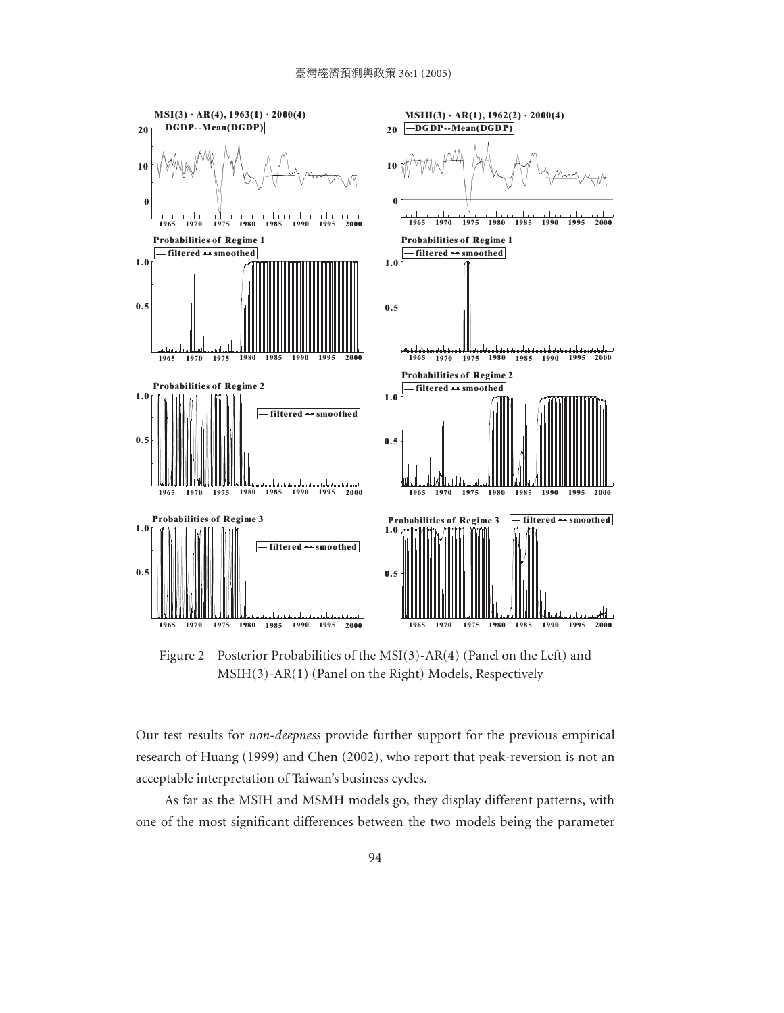

Figure 2 Posterior Probabilities of the MSI(3)-AR(4) (Panel on the Left) and MSIH(3)-AR(1) (Panel on the Right) Models, Respectively

Our test results for *non-deepness* provide further support for the previous empirical research of Huang (1999) and Chen (2002), who report that peak-reversion is not an acceptable interpretation of Taiwan's business cycles.

As far as the MSIH and MSMH models go, they display different patterns, with one of the most significant differences between the two models being the parameter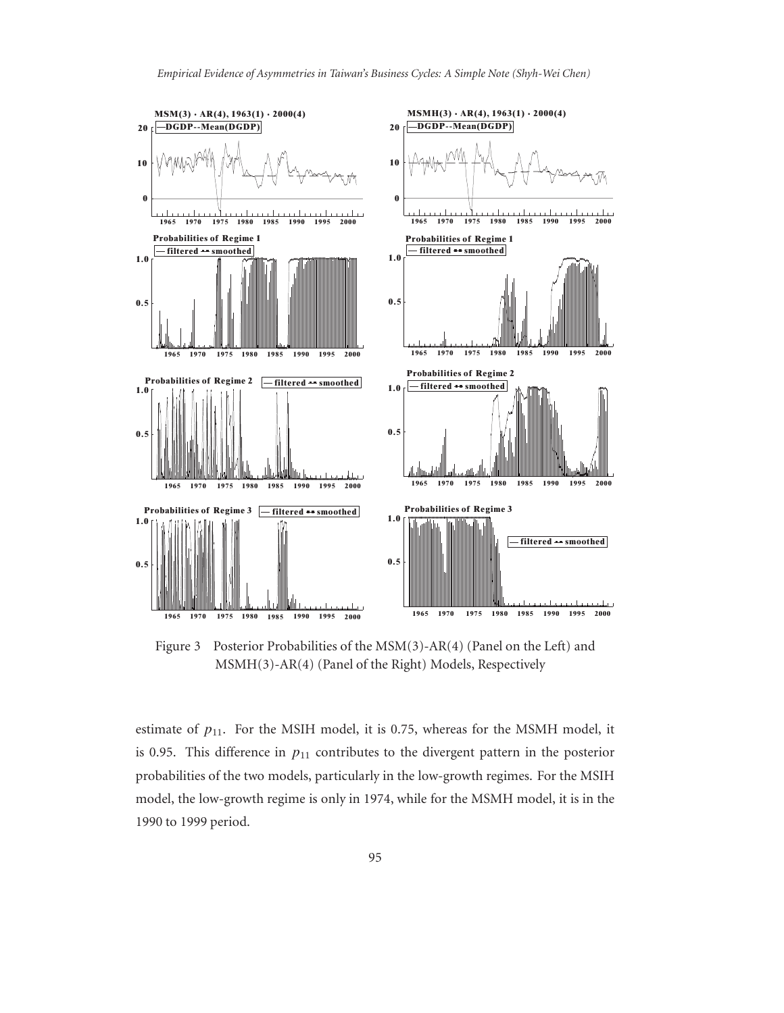

Figure 3 Posterior Probabilities of the MSM(3)-AR(4) (Panel on the Left) and MSMH(3)-AR(4) (Panel of the Right) Models, Respectively

estimate of  $p_{11}$ . For the MSIH model, it is 0.75, whereas for the MSMH model, it is 0.95. This difference in  $p_{11}$  contributes to the divergent pattern in the posterior probabilities of the two models, particularly in the low-growth regimes. For the MSIH model, the low-growth regime is only in 1974, while for the MSMH model, it is in the 1990 to 1999 period.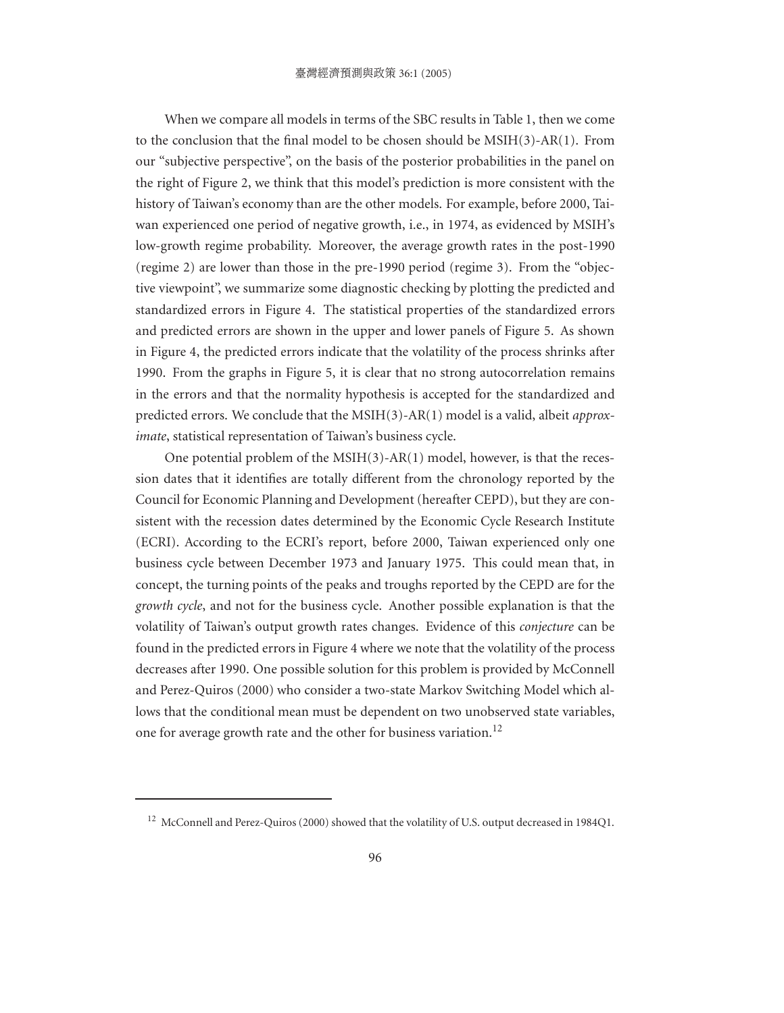When we compare all models in terms of the SBC results in Table 1, then we come to the conclusion that the final model to be chosen should be MSIH(3)-AR(1). From our "subjective perspective", on the basis of the posterior probabilities in the panel on the right of Figure 2, we think that this model's prediction is more consistent with the history of Taiwan's economy than are the other models. For example, before 2000, Taiwan experienced one period of negative growth, i.e., in 1974, as evidenced by MSIH's low-growth regime probability. Moreover, the average growth rates in the post-1990 (regime 2) are lower than those in the pre-1990 period (regime 3). From the "objective viewpoint", we summarize some diagnostic checking by plotting the predicted and standardized errors in Figure 4. The statistical properties of the standardized errors and predicted errors are shown in the upper and lower panels of Figure 5. As shown in Figure 4, the predicted errors indicate that the volatility of the process shrinks after 1990. From the graphs in Figure 5, it is clear that no strong autocorrelation remains in the errors and that the normality hypothesis is accepted for the standardized and predicted errors. We conclude that the MSIH(3)-AR(1) model is a valid, albeit *approximate*, statistical representation of Taiwan's business cycle.

One potential problem of the  $MSIH(3)-AR(1)$  model, however, is that the recession dates that it identifies are totally different from the chronology reported by the Council for Economic Planning and Development (hereafter CEPD), but they are consistent with the recession dates determined by the Economic Cycle Research Institute (ECRI). According to the ECRI's report, before 2000, Taiwan experienced only one business cycle between December 1973 and January 1975. This could mean that, in concept, the turning points of the peaks and troughs reported by the CEPD are for the *growth cycle*, and not for the business cycle. Another possible explanation is that the volatility of Taiwan's output growth rates changes. Evidence of this *conjecture* can be found in the predicted errors in Figure 4 where we note that the volatility of the process decreases after 1990. One possible solution for this problem is provided by McConnell and Perez-Quiros (2000) who consider a two-state Markov Switching Model which allows that the conditional mean must be dependent on two unobserved state variables, one for average growth rate and the other for business variation.<sup>12</sup>

<sup>&</sup>lt;sup>12</sup> McConnell and Perez-Quiros (2000) showed that the volatility of U.S. output decreased in 1984Q1.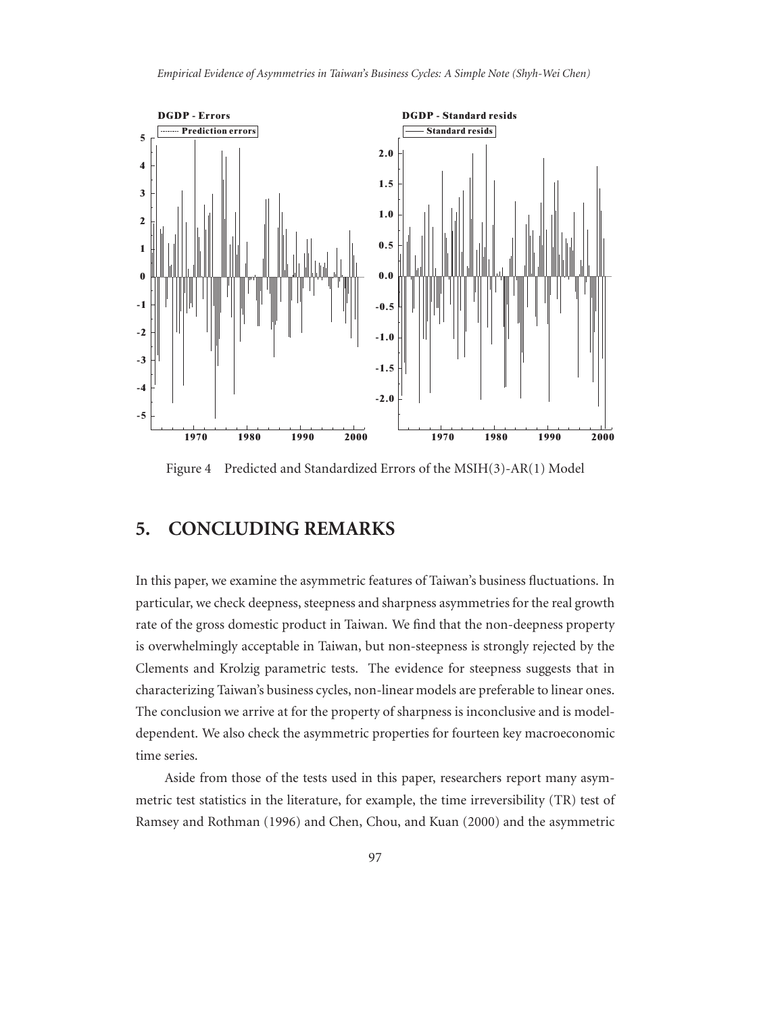

Figure 4 Predicted and Standardized Errors of the MSIH(3)-AR(1) Model

#### **5. CONCLUDING REMARKS**

In this paper, we examine the asymmetric features of Taiwan's business fluctuations. In particular, we check deepness, steepness and sharpness asymmetries for the real growth rate of the gross domestic product in Taiwan. We find that the non-deepness property is overwhelmingly acceptable in Taiwan, but non-steepness is strongly rejected by the Clements and Krolzig parametric tests. The evidence for steepness suggests that in characterizing Taiwan's business cycles, non-linear models are preferable to linear ones. The conclusion we arrive at for the property of sharpness is inconclusive and is modeldependent. We also check the asymmetric properties for fourteen key macroeconomic time series.

Aside from those of the tests used in this paper, researchers report many asymmetric test statistics in the literature, for example, the time irreversibility (TR) test of Ramsey and Rothman (1996) and Chen, Chou, and Kuan (2000) and the asymmetric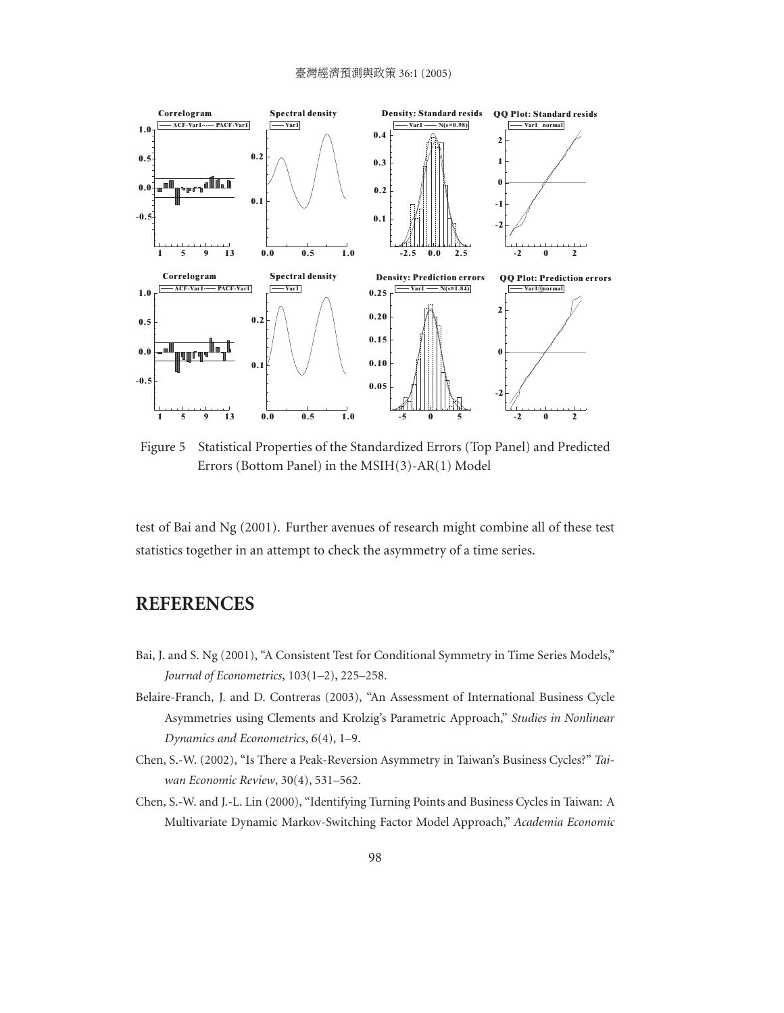#### 臺灣經濟預測與政策 36:1 (2005)



Figure 5 Statistical Properties of the Standardized Errors (Top Panel) and Predicted Errors (Bottom Panel) in the MSIH(3)-AR(1) Model

test of Bai and Ng (2001). Further avenues of research might combine all of these test statistics together in an attempt to check the asymmetry of a time series.

#### **REFERENCES**

- Bai, J. and S. Ng (2001), "A Consistent Test for Conditional Symmetry in Time Series Models," *Journal of Econometrics*, 103(1–2), 225–258.
- Belaire-Franch, J. and D. Contreras (2003), "An Assessment of International Business Cycle Asymmetries using Clements and Krolzig's Parametric Approach," *Studies in Nonlinear Dynamics and Econometrics*, 6(4), 1–9.
- Chen, S.-W. (2002), "Is There a Peak-Reversion Asymmetry in Taiwan's Business Cycles?" *Taiwan Economic Review*, 30(4), 531–562.
- Chen, S.-W. and J.-L. Lin (2000), "Identifying Turning Points and Business Cycles in Taiwan: A Multivariate Dynamic Markov-Switching Factor Model Approach," *Academia Economic*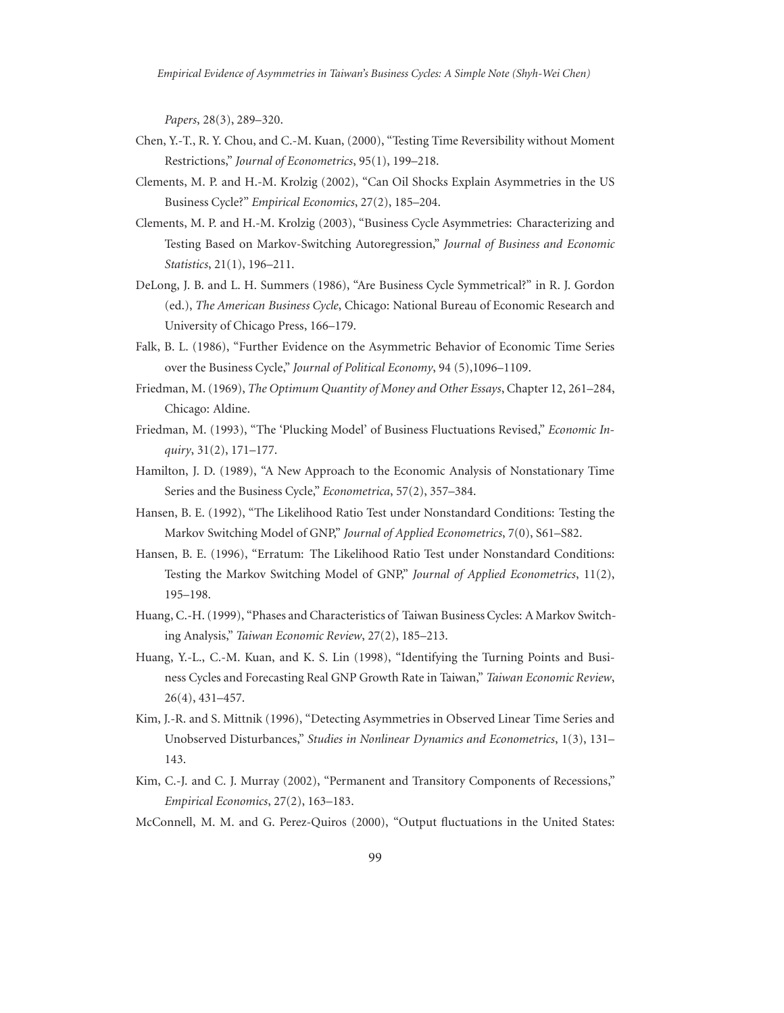*Papers*, 28(3), 289–320.

- Chen, Y.-T., R. Y. Chou, and C.-M. Kuan, (2000), "Testing Time Reversibility without Moment Restrictions," *Journal of Econometrics*, 95(1), 199–218.
- Clements, M. P. and H.-M. Krolzig (2002), "Can Oil Shocks Explain Asymmetries in the US Business Cycle?" *Empirical Economics*, 27(2), 185–204.
- Clements, M. P. and H.-M. Krolzig (2003), "Business Cycle Asymmetries: Characterizing and Testing Based on Markov-Switching Autoregression," *Journal of Business and Economic Statistics*, 21(1), 196–211.
- DeLong, J. B. and L. H. Summers (1986), "Are Business Cycle Symmetrical?" in R. J. Gordon (ed.), *The American Business Cycle*, Chicago: National Bureau of Economic Research and University of Chicago Press, 166–179.
- Falk, B. L. (1986), "Further Evidence on the Asymmetric Behavior of Economic Time Series over the Business Cycle," *Journal of Political Economy*, 94 (5),1096–1109.
- Friedman, M. (1969), *The Optimum Quantity of Money and Other Essays*, Chapter 12, 261–284, Chicago: Aldine.
- Friedman, M. (1993), "The 'Plucking Model' of Business Fluctuations Revised," *Economic Inquiry*, 31(2), 171–177.
- Hamilton, J. D. (1989), "A New Approach to the Economic Analysis of Nonstationary Time Series and the Business Cycle," *Econometrica*, 57(2), 357–384.
- Hansen, B. E. (1992), "The Likelihood Ratio Test under Nonstandard Conditions: Testing the Markov Switching Model of GNP," *Journal of Applied Econometrics*, 7(0), S61–S82.
- Hansen, B. E. (1996), "Erratum: The Likelihood Ratio Test under Nonstandard Conditions: Testing the Markov Switching Model of GNP," *Journal of Applied Econometrics*, 11(2), 195–198.
- Huang, C.-H. (1999), "Phases and Characteristics of Taiwan Business Cycles: A Markov Switching Analysis," *Taiwan Economic Review*, 27(2), 185–213.
- Huang, Y.-L., C.-M. Kuan, and K. S. Lin (1998), "Identifying the Turning Points and Business Cycles and Forecasting Real GNP Growth Rate in Taiwan," *Taiwan Economic Review*, 26(4), 431–457.
- Kim, J.-R. and S. Mittnik (1996), "Detecting Asymmetries in Observed Linear Time Series and Unobserved Disturbances," *Studies in Nonlinear Dynamics and Econometrics*, 1(3), 131– 143.
- Kim, C.-J. and C. J. Murray (2002), "Permanent and Transitory Components of Recessions," *Empirical Economics*, 27(2), 163–183.
- McConnell, M. M. and G. Perez-Quiros (2000), "Output fluctuations in the United States: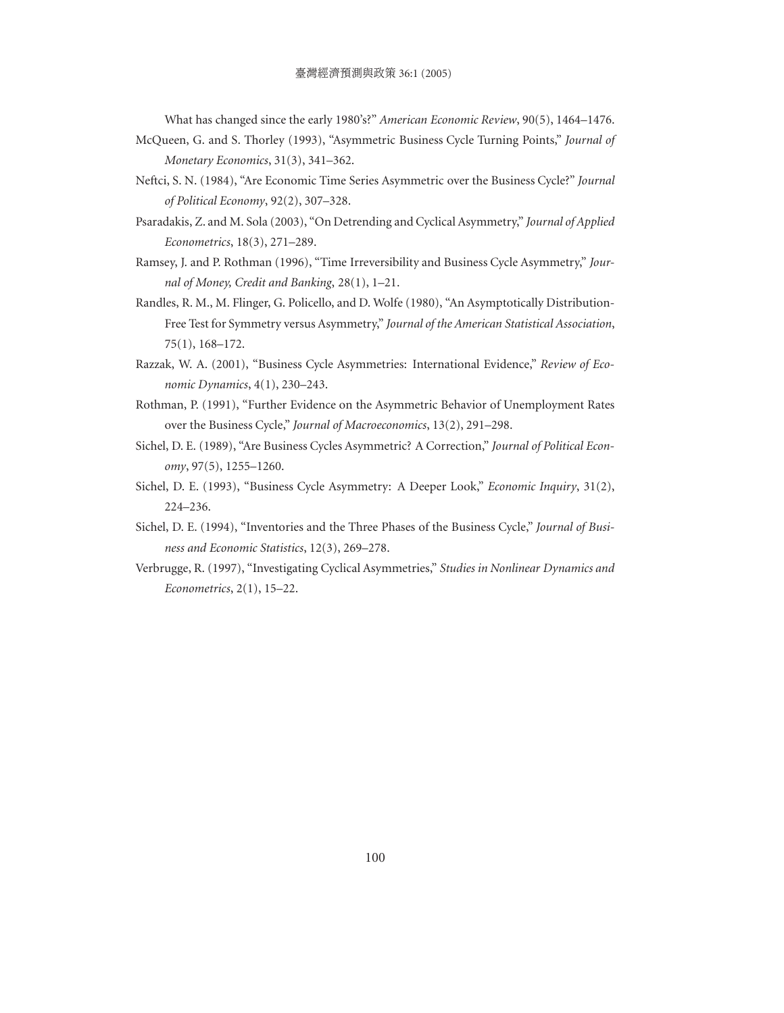What has changed since the early 1980's?" *American Economic Review*, 90(5), 1464–1476.

- McQueen, G. and S. Thorley (1993), "Asymmetric Business Cycle Turning Points," *Journal of Monetary Economics*, 31(3), 341–362.
- Neftci, S. N. (1984), "Are Economic Time Series Asymmetric over the Business Cycle?" *Journal of Political Economy*, 92(2), 307–328.
- Psaradakis, Z. and M. Sola (2003), "On Detrending and Cyclical Asymmetry," *Journal of Applied Econometrics*, 18(3), 271–289.
- Ramsey, J. and P. Rothman (1996), "Time Irreversibility and Business Cycle Asymmetry," *Journal of Money, Credit and Banking*, 28(1), 1–21.
- Randles, R. M., M. Flinger, G. Policello, and D. Wolfe (1980), "An Asymptotically Distribution-Free Test for Symmetry versus Asymmetry," *Journal of the American Statistical Association*, 75(1), 168–172.
- Razzak, W. A. (2001), "Business Cycle Asymmetries: International Evidence," *Review of Economic Dynamics*, 4(1), 230–243.
- Rothman, P. (1991), "Further Evidence on the Asymmetric Behavior of Unemployment Rates over the Business Cycle," *Journal of Macroeconomics*, 13(2), 291–298.
- Sichel, D. E. (1989), "Are Business Cycles Asymmetric? A Correction," *Journal of Political Economy*, 97(5), 1255–1260.
- Sichel, D. E. (1993), "Business Cycle Asymmetry: A Deeper Look," *Economic Inquiry*, 31(2), 224–236.
- Sichel, D. E. (1994), "Inventories and the Three Phases of the Business Cycle," *Journal of Business and Economic Statistics*, 12(3), 269–278.
- Verbrugge, R. (1997), "Investigating Cyclical Asymmetries," *Studies in Nonlinear Dynamics and Econometrics*, 2(1), 15–22.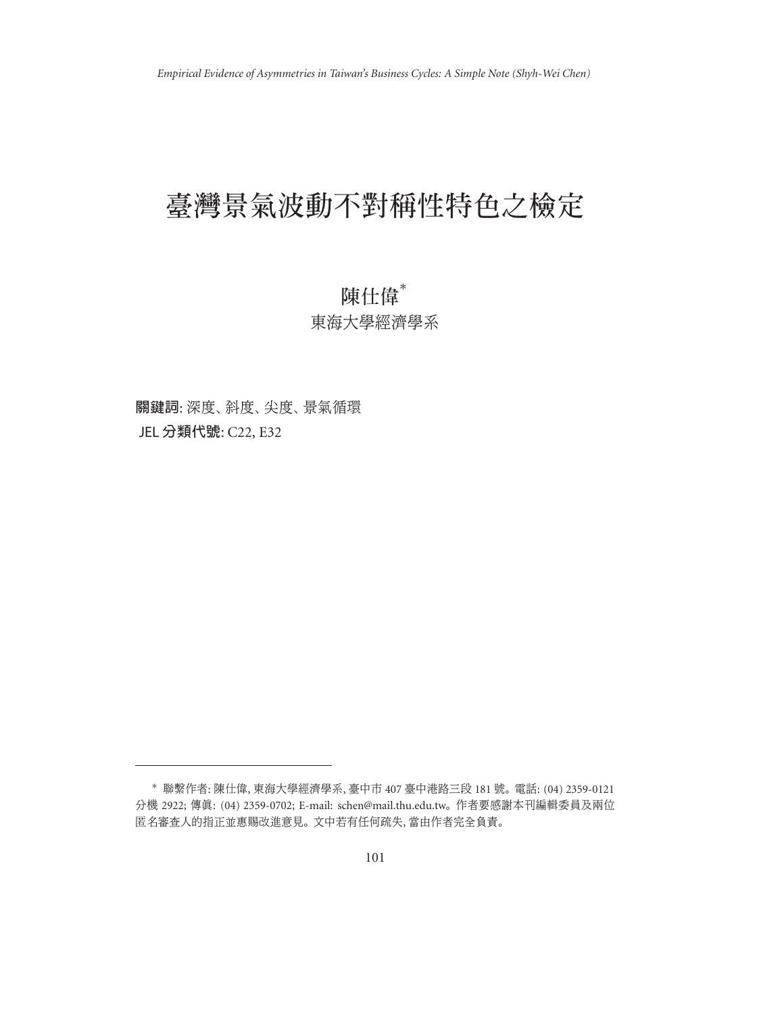# 臺灣景氣波動不對稱性特色之檢定

## 陳仕偉\* 東海大學經濟學系

關鍵詞: 深度、斜度、尖度、景氣循環 JEL 分類代號: C22, E32

<sup>∗</sup> 聯繫作者: 陳仕偉, 東海大學經濟學系, 臺中市 407 臺中港路三段 181 號。 電話: (04) 2359-0121 分機 2922; 傳真: (04) 2359-0702; E-mail: schen@mail.thu.edu.tw。 作者要感謝本刊編輯委員及兩位 匿名審查人的指正並惠賜改進意見。 文中若有任何疏失, 當由作者完全負責。